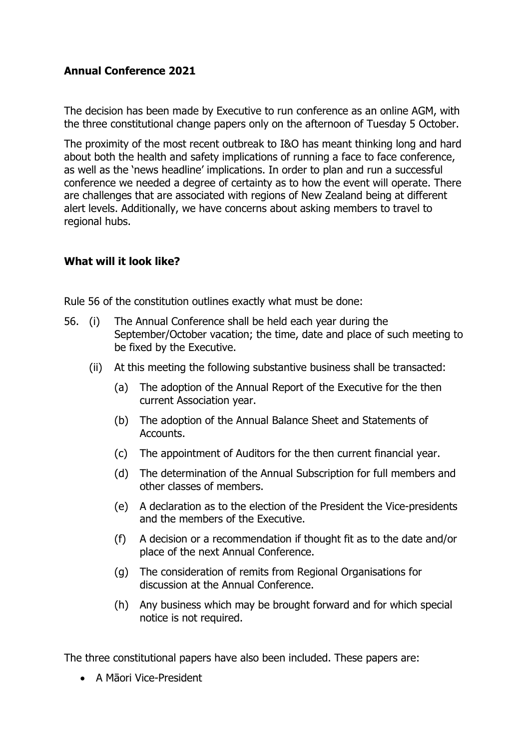## **Annual Conference 2021**

The decision has been made by Executive to run conference as an online AGM, with the three constitutional change papers only on the afternoon of Tuesday 5 October.

The proximity of the most recent outbreak to I&O has meant thinking long and hard about both the health and safety implications of running a face to face conference, as well as the 'news headline' implications. In order to plan and run a successful conference we needed a degree of certainty as to how the event will operate. There are challenges that are associated with regions of New Zealand being at different alert levels. Additionally, we have concerns about asking members to travel to regional hubs.

## **What will it look like?**

Rule 56 of the constitution outlines exactly what must be done:

- 56. (i) The Annual Conference shall be held each year during the September/October vacation; the time, date and place of such meeting to be fixed by the Executive.
	- (ii) At this meeting the following substantive business shall be transacted:
		- (a) The adoption of the Annual Report of the Executive for the then current Association year.
		- (b) The adoption of the Annual Balance Sheet and Statements of Accounts.
		- (c) The appointment of Auditors for the then current financial year.
		- (d) The determination of the Annual Subscription for full members and other classes of members.
		- (e) A declaration as to the election of the President the Vice-presidents and the members of the Executive.
		- (f) A decision or a recommendation if thought fit as to the date and/or place of the next Annual Conference.
		- (g) The consideration of remits from Regional Organisations for discussion at the Annual Conference.
		- (h) Any business which may be brought forward and for which special notice is not required.

The three constitutional papers have also been included. These papers are:

• A Māori Vice-President